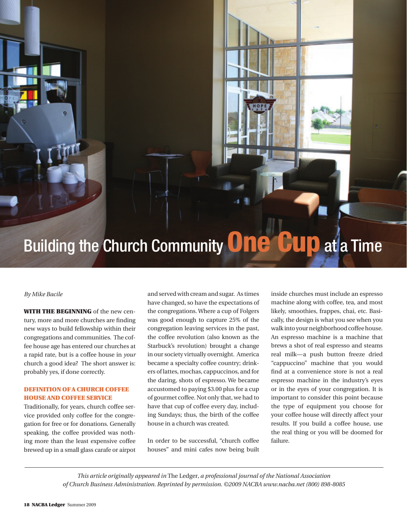# Building the Church Community **One Cup** at a Time

### *By Mike Bacile*

WITH THE BEGINNING of the new century, more and more churches are finding new ways to build fellowship within their congregations and communities. The coffee house age has entered our churches at a rapid rate, but is a coffee house in *your*  church a good idea? The short answer is: probably yes, if done correctly.

# DEFINITION OF A CHURCH COFFEE house and coffee service

Traditionally, for years, church coffee service provided only coffee for the congregation for free or for donations. Generally speaking, the coffee provided was nothing more than the least expensive coffee brewed up in a small glass carafe or airpot and served with cream and sugar. As times have changed, so have the expectations of the congregations. Where a cup of Folgers was good enough to capture 25% of the congregation leaving services in the past, the coffee revolution (also known as the Starbuck's revolution) brought a change in our society virtually overnight. America became a specialty coffee country; drinkers of lattes, mochas, cappuccinos, and for the daring, shots of espresso. We became accustomed to paying \$3.00 plus for a cup of gourmet coffee. Not only that, we had to have that cup of coffee every day, including Sundays; thus, the birth of the coffee house in a church was created.

In order to be successful, "church coffee houses" and mini cafes now being built inside churches must include an espresso machine along with coffee, tea, and most likely, smoothies, frappes, chai, etc. Basically, the design is what you see when you walk into your neighborhood coffee house. An espresso machine is a machine that brews a shot of real espresso and steams real milk—a push button freeze dried "cappuccino" machine that you would find at a convenience store is not a real espresso machine in the industry's eyes or in the eyes of your congregation. It is important to consider this point because the type of equipment you choose for your coffee house will directly affect your results. If you build a coffee house, use the real thing or you will be doomed for failure.

*This article originally appeared in* The Ledger*, a professional journal of the National Association of Church Business Administration. Reprinted by permission. ©2009 NACBA www.nacba.net (800) 898-8085*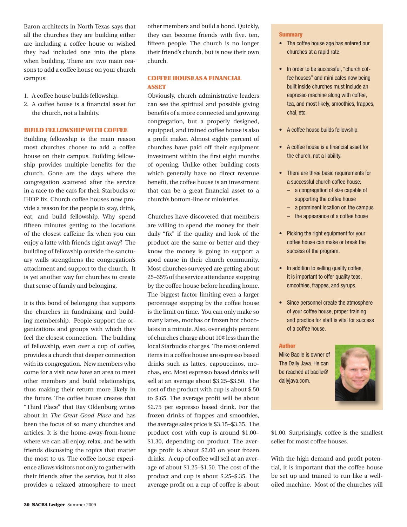Baron architects in North Texas says that all the churches they are building either are including a coffee house or wished they had included one into the plans when building. There are two main reasons to add a coffee house on your church campus:

- 1. A coffee house builds fellowship.
- 2. A coffee house is a financial asset for the church, not a liability.

#### Build Fellowship with Coffee

Building fellowship is the main reason most churches choose to add a coffee house on their campus. Building fellowship provides multiple benefits for the church. Gone are the days where the congregation scattered after the service in a race to the cars for their Starbucks or IHOP fix. Church coffee houses now provide a reason for the people to stay, drink, eat, and build fellowship. Why spend fifteen minutes getting to the locations of the closest caffeine fix when you can enjoy a latte with friends right away? The building of fellowship outside the sanctuary walls strengthens the congregation's attachment and support to the church. It is yet another way for churches to create that sense of family and belonging.

It is this bond of belonging that supports the churches in fundraising and building membership. People support the organizations and groups with which they feel the closest connection. The building of fellowship, even over a cup of coffee, provides a church that deeper connection with its congregation. New members who come for a visit now have an area to meet other members and build relationships, thus making their return more likely in the future. The coffee house creates that "Third Place" that Ray Oldenburg writes about in *The Great Good Place* and has been the focus of so many churches and articles. It is the home-away-from-home where we can all enjoy, relax, and be with friends discussing the topics that matter the most to us. The coffee house experience allows visitors not only to gather with their friends after the service, but it also provides a relaxed atmosphere to meet

other members and build a bond. Quickly, they can become friends with five, ten, fifteen people. The church is no longer their friend's church, but is now their own church.

## Coffee House as a Financial **ASSET**

Obviously, church administrative leaders can see the spiritual and possible giving benefits of a more connected and growing congregation, but a properly designed, equipped, and trained coffee house is also a profit maker. Almost eighty percent of churches have paid off their equipment investment within the first eight months of opening. Unlike other building costs which generally have no direct revenue benefit, the coffee house is an investment that can be a great financial asset to a church's bottom-line or ministries.

Churches have discovered that members are willing to spend the money for their daily "fix" if the quality and look of the product are the same or better and they know the money is going to support a good cause in their church community. Most churches surveyed are getting about 25–35% of the service attendance stopping by the coffee house before heading home. The biggest factor limiting even a larger percentage stopping by the coffee house is the limit on time. You can only make so many lattes, mochas or frozen hot chocolates in a minute. Also, over eighty percent of churches charge about 10¢ less than the local Starbucks charges. The most ordered items in a coffee house are espresso based drinks such as lattes, cappuccinos, mochas, etc. Most espresso based drinks will sell at an average about \$3.25–\$3.50. The cost of the product with cup is about \$.50 to \$.65. The average profit will be about \$2.75 per espresso based drink. For the frozen drinks of frappes and smoothies, the average sales price is \$3.15–\$3.35. The product cost with cup is around \$1.00– \$1.30, depending on product. The average profit is about \$2.00 on your frozen drinks. A cup of coffee will sell at an average of about \$1.25–\$1.50. The cost of the product and cup is about \$.25–\$.35. The average profit on a cup of coffee is about

#### **Summary**

- The coffee house age has entered our churches at a rapid rate.
- In order to be successful, "church coffee houses" and mini cafes now being built inside churches must include an espresso machine along with coffee, tea, and most likely, smoothies, frappes, chai, etc.
- A coffee house builds fellowship.
- • A coffee house is a financial asset for the church, not a liability.
- There are three basic requirements for a successful church coffee house:
	- – a congregation of size capable of supporting the coffee house
	- – a prominent location on the campus
	- – the appearance of a coffee house
- Picking the right equipment for your coffee house can make or break the success of the program.
- In addition to selling quality coffee, it is important to offer quality teas, smoothies, frappes, and syrups.
- Since personnel create the atmosphere of your coffee house, proper training and practice for staff is vital for success of a coffee house.

#### Author

Mike Bacile is owner of The Daily Java. He can be reached at bacile@ dailyjava.com.



\$1.00. Surprisingly, coffee is the smallest seller for most coffee houses.

With the high demand and profit potential, it is important that the coffee house be set up and trained to run like a welloiled machine. Most of the churches will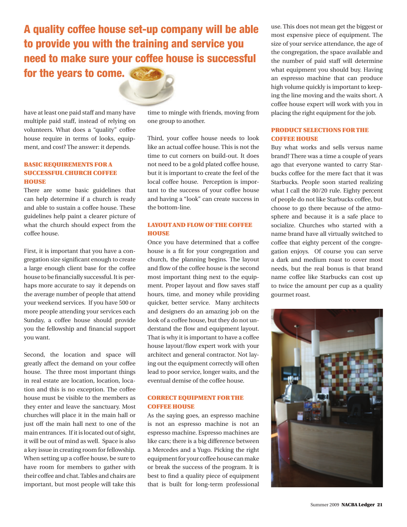A quality coffee house set-up company will be able to provide you with the training and service you need to make sure your coffee house is successful for the years to come.

have at least one paid staff and many have multiple paid staff, instead of relying on volunteers. What does a "quality" coffee house require in terms of looks, equipment, and cost? The answer: it depends.

# Basic Requirements for a Successful Church Coffee **HOUSE**

There are some basic guidelines that can help determine if a church is ready and able to sustain a coffee house. These guidelines help paint a clearer picture of what the church should expect from the coffee house.

First, it is important that you have a congregation size significant enough to create a large enough client base for the coffee house to be financially successful. It is perhaps more accurate to say it depends on the average number of people that attend your weekend services. If you have 500 or more people attending your services each Sunday, a coffee house should provide you the fellowship and financial support you want.

Second, the location and space will greatly affect the demand on your coffee house. The three most important things in real estate are location, location, location and this is no exception. The coffee house must be visible to the members as they enter and leave the sanctuary. Most churches will place it in the main hall or just off the main hall next to one of the main entrances. If it is located out of sight, it will be out of mind as well. Space is also a key issue in creating room for fellowship. When setting up a coffee house, be sure to have room for members to gather with their coffee and chat. Tables and chairs are important, but most people will take this time to mingle with friends, moving from one group to another.

Third, your coffee house needs to look like an actual coffee house. This is not the time to cut corners on build-out. It does not need to be a gold plated coffee house, but it is important to create the feel of the local coffee house. Perception is important to the success of your coffee house and having a "look" can create success in the bottom-line.

## LAYOUT AND FLOW OF THE COFFEE **HOUSE**

Once you have determined that a coffee house is a fit for your congregation and church, the planning begins. The layout and flow of the coffee house is the second most important thing next to the equipment. Proper layout and flow saves staff hours, time, and money while providing quicker, better service. Many architects and designers do an amazing job on the look of a coffee house, but they do not understand the flow and equipment layout. That is why it is important to have a coffee house layout/flow expert work with your architect and general contractor. Not laying out the equipment correctly will often lead to poor service, longer waits, and the eventual demise of the coffee house.

## Correct Equipment for the Coffee House

As the saying goes, an espresso machine is not an espresso machine is not an espresso machine. Espresso machines are like cars; there is a big difference between a Mercedes and a Yugo. Picking the right equipment for your coffee house can make or break the success of the program. It is best to find a quality piece of equipment that is built for long-term professional

use. This does not mean get the biggest or most expensive piece of equipment. The size of your service attendance, the age of the congregation, the space available and the number of paid staff will determine what equipment you should buy. Having an espresso machine that can produce high volume quickly is important to keeping the line moving and the waits short. A coffee house expert will work with you in placing the right equipment for the job.

# Product Selections for the Coffee House

Buy what works and sells versus name brand? There was a time a couple of years ago that everyone wanted to carry Starbucks coffee for the mere fact that it was Starbucks. People soon started realizing what I call the 80/20 rule. Eighty percent of people do not like Starbucks coffee, but choose to go there because of the atmosphere and because it is a safe place to socialize. Churches who started with a name brand have all virtually switched to coffee that eighty percent of the congregation enjoys. Of course you can serve a dark and medium roast to cover most needs, but the real bonus is that brand name coffee like Starbucks can cost up to twice the amount per cup as a quality gourmet roast.